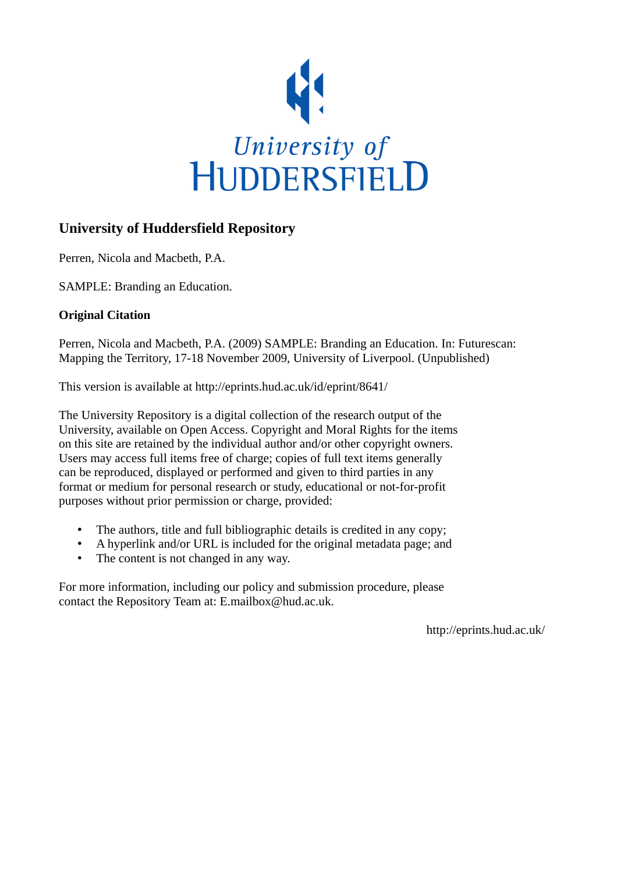

### **University of Huddersfield Repository**

Perren, Nicola and Macbeth, P.A.

SAMPLE: Branding an Education.

#### **Original Citation**

Perren, Nicola and Macbeth, P.A. (2009) SAMPLE: Branding an Education. In: Futurescan: Mapping the Territory, 17-18 November 2009, University of Liverpool. (Unpublished)

This version is available at http://eprints.hud.ac.uk/id/eprint/8641/

The University Repository is a digital collection of the research output of the University, available on Open Access. Copyright and Moral Rights for the items on this site are retained by the individual author and/or other copyright owners. Users may access full items free of charge; copies of full text items generally can be reproduced, displayed or performed and given to third parties in any format or medium for personal research or study, educational or not-for-profit purposes without prior permission or charge, provided:

- The authors, title and full bibliographic details is credited in any copy;
- A hyperlink and/or URL is included for the original metadata page; and
- The content is not changed in any way.

For more information, including our policy and submission procedure, please contact the Repository Team at: E.mailbox@hud.ac.uk.

http://eprints.hud.ac.uk/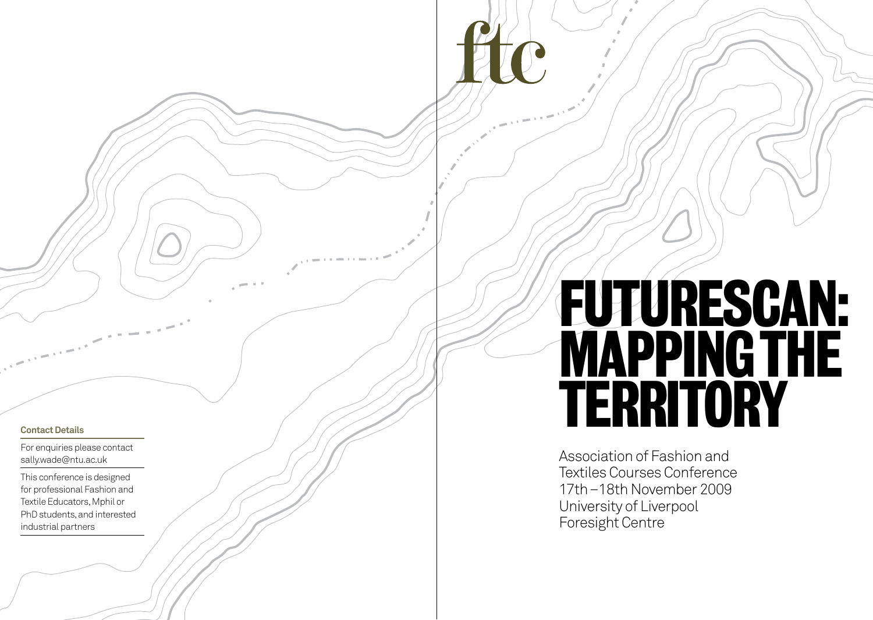#### **Contact Details**

For enquiries please contact sally.wade@ntu.ac.uk

This conference is designed for professional Fashion and Textile Educators, Mphil or PhD students, and interested industrial partners

# Futurescan: MAPPING THE<br>TERRITORY

Association of Fashion and Textiles Courses Conference 17th–18th November 2009 University of Liverpool Foresight Centre